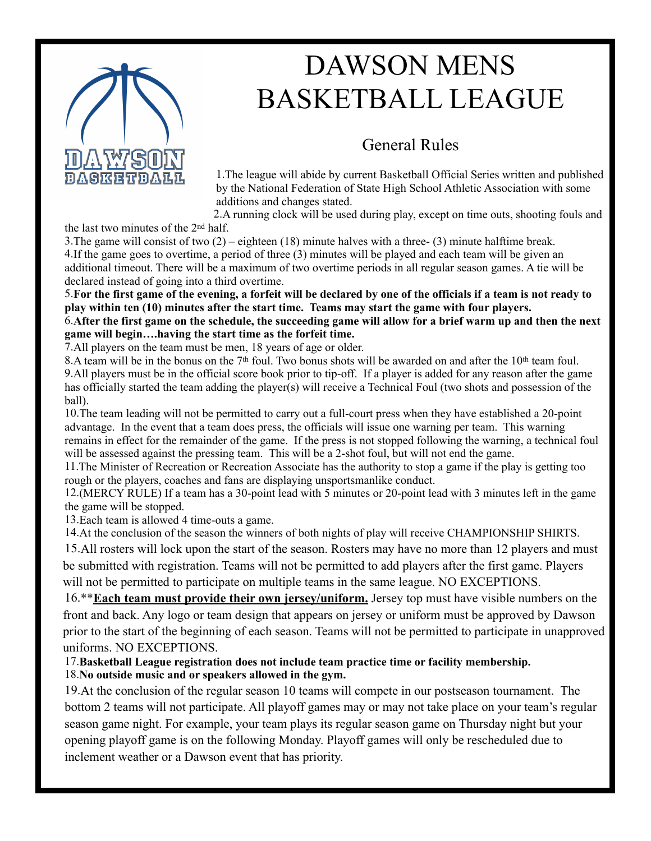

# DAWSON MENS BASKETBALL LEAGUE

## General Rules

1.The league will abide by current Basketball Official Series written and published by the National Federation of State High School Athletic Association with some additions and changes stated.

2.A running clock will be used during play, except on time outs, shooting fouls and

the last two minutes of the 2nd half.

3. The game will consist of two  $(2)$  – eighteen (18) minute halves with a three- (3) minute halftime break. 4.If the game goes to overtime, a period of three (3) minutes will be played and each team will be given an additional timeout. There will be a maximum of two overtime periods in all regular season games. A tie will be declared instead of going into a third overtime.

5.**For the first game of the evening, a forfeit will be declared by one of the officials if a team is not ready to play within ten (10) minutes after the start time. Teams may start the game with four players.** 6.**After the first game on the schedule, the succeeding game will allow for a brief warm up and then the next game will begin….having the start time as the forfeit time.**

7.All players on the team must be men, 18 years of age or older.

8.A team will be in the bonus on the 7<sup>th</sup> foul. Two bonus shots will be awarded on and after the 10<sup>th</sup> team foul. 9.All players must be in the official score book prior to tip-off. If a player is added for any reason after the game has officially started the team adding the player(s) will receive a Technical Foul (two shots and possession of the ball).

10.The team leading will not be permitted to carry out a full-court press when they have established a 20-point advantage. In the event that a team does press, the officials will issue one warning per team. This warning remains in effect for the remainder of the game. If the press is not stopped following the warning, a technical foul will be assessed against the pressing team. This will be a 2-shot foul, but will not end the game.

11.The Minister of Recreation or Recreation Associate has the authority to stop a game if the play is getting too rough or the players, coaches and fans are displaying unsportsmanlike conduct.

12.(MERCY RULE) If a team has a 30-point lead with 5 minutes or 20-point lead with 3 minutes left in the game the game will be stopped.

13.Each team is allowed 4 time-outs a game.

14.At the conclusion of the season the winners of both nights of play will receive CHAMPIONSHIP SHIRTS.

15.All rosters will lock upon the start of the season. Rosters may have no more than 12 players and must be submitted with registration. Teams will not be permitted to add players after the first game. Players will not be permitted to participate on multiple teams in the same league. NO EXCEPTIONS.

16.\*\***Each team must provide their own jersey/uniform.** Jersey top must have visible numbers on the front and back. Any logo or team design that appears on jersey or uniform must be approved by Dawson prior to the start of the beginning of each season. Teams will not be permitted to participate in unapproved uniforms. NO EXCEPTIONS.

#### 17.**Basketball League registration does not include team practice time or facility membership.** 18.**No outside music and or speakers allowed in the gym.**

19.At the conclusion of the regular season 10 teams will compete in our postseason tournament. The bottom 2 teams will not participate. All playoff games may or may not take place on your team's regular season game night. For example, your team plays its regular season game on Thursday night but your opening playoff game is on the following Monday. Playoff games will only be rescheduled due to inclement weather or a Dawson event that has priority.